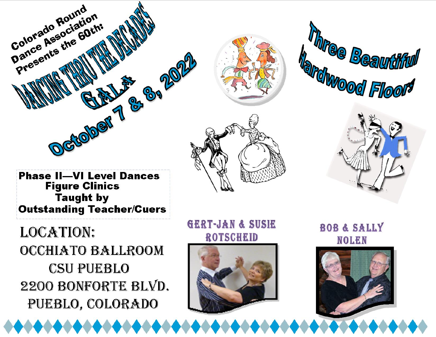







**Phase II-VI Level Dances Figure Clinics Taught by Outstanding Teacher/Cuers** 

**LOCATION:** OCCHIATO BALLROOM **CSU PUEBLO** 2200 BONFORTE BLVD. PUEBLO, COLORADO

**GERT-JAN & SUSIE ROTSCHEID** 



**BOB & SALLY NOLEN**